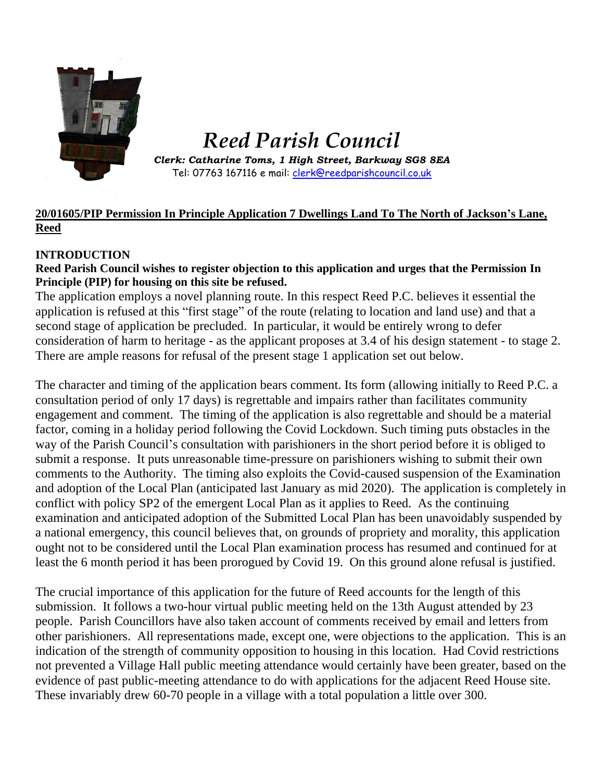

# *Reed Parish Council*

*Clerk: Catharine Toms, 1 High Street, Barkway SG8 8EA* Tel: 07763 167116 e mail: [clerk@reedparishcouncil.co.uk](mailto:clerk@reedparishcouncil.co.uk)

# **20/01605/PIP Permission In Principle Application 7 Dwellings Land To The North of Jackson's Lane, Reed**

# **INTRODUCTION**

# **Reed Parish Council wishes to register objection to this application and urges that the Permission In Principle (PIP) for housing on this site be refused.**

The application employs a novel planning route. In this respect Reed P.C. believes it essential the application is refused at this "first stage" of the route (relating to location and land use) and that a second stage of application be precluded. In particular, it would be entirely wrong to defer consideration of harm to heritage - as the applicant proposes at 3.4 of his design statement - to stage 2. There are ample reasons for refusal of the present stage 1 application set out below.

The character and timing of the application bears comment. Its form (allowing initially to Reed P.C. a consultation period of only 17 days) is regrettable and impairs rather than facilitates community engagement and comment. The timing of the application is also regrettable and should be a material factor, coming in a holiday period following the Covid Lockdown. Such timing puts obstacles in the way of the Parish Council's consultation with parishioners in the short period before it is obliged to submit a response. It puts unreasonable time-pressure on parishioners wishing to submit their own comments to the Authority. The timing also exploits the Covid-caused suspension of the Examination and adoption of the Local Plan (anticipated last January as mid 2020). The application is completely in conflict with policy SP2 of the emergent Local Plan as it applies to Reed. As the continuing examination and anticipated adoption of the Submitted Local Plan has been unavoidably suspended by a national emergency, this council believes that, on grounds of propriety and morality, this application ought not to be considered until the Local Plan examination process has resumed and continued for at least the 6 month period it has been prorogued by Covid 19. On this ground alone refusal is justified.

The crucial importance of this application for the future of Reed accounts for the length of this submission. It follows a two-hour virtual public meeting held on the 13th August attended by 23 people. Parish Councillors have also taken account of comments received by email and letters from other parishioners. All representations made, except one, were objections to the application. This is an indication of the strength of community opposition to housing in this location. Had Covid restrictions not prevented a Village Hall public meeting attendance would certainly have been greater, based on the evidence of past public-meeting attendance to do with applications for the adjacent Reed House site. These invariably drew 60-70 people in a village with a total population a little over 300.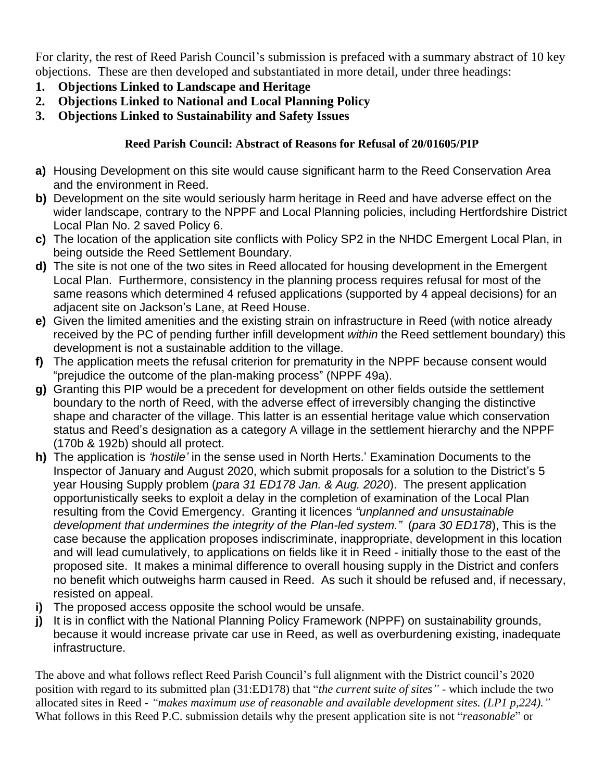For clarity, the rest of Reed Parish Council's submission is prefaced with a summary abstract of 10 key objections. These are then developed and substantiated in more detail, under three headings:

- **1. Objections Linked to Landscape and Heritage**
- **2. Objections Linked to National and Local Planning Policy**
- **3. Objections Linked to Sustainability and Safety Issues**

# **Reed Parish Council: Abstract of Reasons for Refusal of 20/01605/PIP**

- **a)** Housing Development on this site would cause significant harm to the Reed Conservation Area and the environment in Reed.
- **b)** Development on the site would seriously harm heritage in Reed and have adverse effect on the wider landscape, contrary to the NPPF and Local Planning policies, including Hertfordshire District Local Plan No. 2 saved Policy 6.
- **c)** The location of the application site conflicts with Policy SP2 in the NHDC Emergent Local Plan, in being outside the Reed Settlement Boundary.
- **d)** The site is not one of the two sites in Reed allocated for housing development in the Emergent Local Plan. Furthermore, consistency in the planning process requires refusal for most of the same reasons which determined 4 refused applications (supported by 4 appeal decisions) for an adjacent site on Jackson's Lane, at Reed House.
- **e)** Given the limited amenities and the existing strain on infrastructure in Reed (with notice already received by the PC of pending further infill development *within* the Reed settlement boundary) this development is not a sustainable addition to the village.
- **f)** The application meets the refusal criterion for prematurity in the NPPF because consent would "prejudice the outcome of the plan-making process" (NPPF 49a).
- **g)** Granting this PIP would be a precedent for development on other fields outside the settlement boundary to the north of Reed, with the adverse effect of irreversibly changing the distinctive shape and character of the village. This latter is an essential heritage value which conservation status and Reed's designation as a category A village in the settlement hierarchy and the NPPF (170b & 192b) should all protect.
- **h)** The application is *'hostile'* in the sense used in North Herts.' Examination Documents to the Inspector of January and August 2020, which submit proposals for a solution to the District's 5 year Housing Supply problem (*para 31 ED178 Jan. & Aug. 2020*). The present application opportunistically seeks to exploit a delay in the completion of examination of the Local Plan resulting from the Covid Emergency. Granting it licences *"unplanned and unsustainable development that undermines the integrity of the Plan-led system."* (*para 30 ED178*), This is the case because the application proposes indiscriminate, inappropriate, development in this location and will lead cumulatively, to applications on fields like it in Reed - initially those to the east of the proposed site. It makes a minimal difference to overall housing supply in the District and confers no benefit which outweighs harm caused in Reed. As such it should be refused and, if necessary, resisted on appeal.
- **i)** The proposed access opposite the school would be unsafe.
- **j)** It is in conflict with the National Planning Policy Framework (NPPF) on sustainability grounds, because it would increase private car use in Reed, as well as overburdening existing, inadequate infrastructure.

The above and what follows reflect Reed Parish Council's full alignment with the District council's 2020 position with regard to its submitted plan (31:ED178) that "*the current suite of sites" -* which include the two allocated sites in Reed *- "makes maximum use of reasonable and available development sites. (LP1 p,224)."* What follows in this Reed P.C. submission details why the present application site is not "*reasonable*" or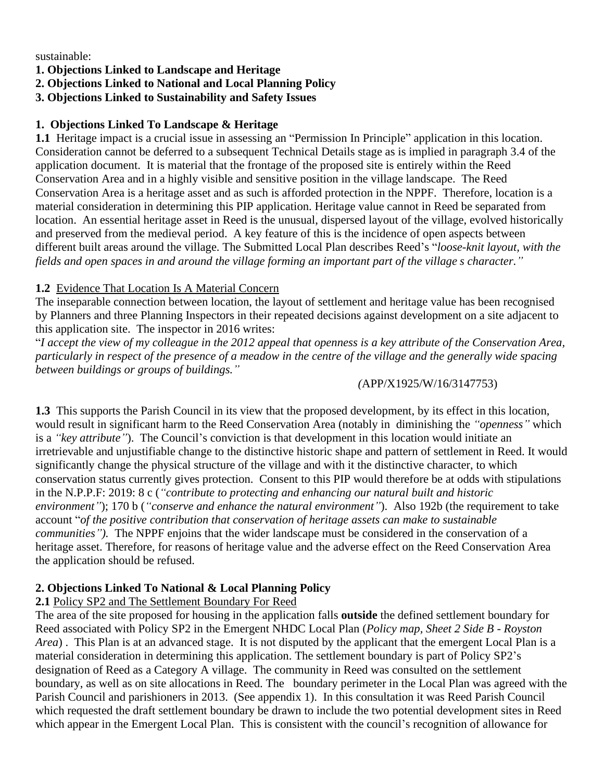sustainable:

#### **1. Objections Linked to Landscape and Heritage**

**2. Objections Linked to National and Local Planning Policy**

#### **3. Objections Linked to Sustainability and Safety Issues**

#### **1. Objections Linked To Landscape & Heritage**

**1.1** Heritage impact is a crucial issue in assessing an "Permission In Principle" application in this location. Consideration cannot be deferred to a subsequent Technical Details stage as is implied in paragraph 3.4 of the application document. It is material that the frontage of the proposed site is entirely within the Reed Conservation Area and in a highly visible and sensitive position in the village landscape. The Reed Conservation Area is a heritage asset and as such is afforded protection in the NPPF. Therefore, location is a material consideration in determining this PIP application. Heritage value cannot in Reed be separated from location. An essential heritage asset in Reed is the unusual, dispersed layout of the village, evolved historically and preserved from the medieval period. A key feature of this is the incidence of open aspects between different built areas around the village. The Submitted Local Plan describes Reed's "*loose-knit layout, with the* fields and open spaces in and around the village forming an important part of the village s character."

#### **1.2** Evidence That Location Is A Material Concern

The inseparable connection between location, the layout of settlement and heritage value has been recognised by Planners and three Planning Inspectors in their repeated decisions against development on a site adjacent to this application site. The inspector in 2016 writes:

"I accept the view of my colleague in the 2012 appeal that openness is a key attribute of the Conservation Area, particularly in respect of the presence of a meadow in the centre of the village and the generally wide spacing *between buildings or groups of buildings."*

#### *(*APP/X1925/W/16/3147753)

**1.3** This supports the Parish Council in its view that the proposed development, by its effect in this location, would result in significant harm to the Reed Conservation Area (notably in diminishing the *"openness"* which is a *"key attribute"*). The Council's conviction is that development in this location would initiate an irretrievable and unjustifiable change to the distinctive historic shape and pattern of settlement in Reed. It would significantly change the physical structure of the village and with it the distinctive character, to which conservation status currently gives protection. Consent to this PIP would therefore be at odds with stipulations in the N.P.P.F: 2019: 8 c (*"contribute to protecting and enhancing our natural built and historic environment"*); 170 b (*"conserve and enhance the natural environment"*). Also 192b (the requirement to take account "*of the positive contribution that conservation of heritage assets can make to sustainable communities").* The NPPF enjoins that the wider landscape must be considered in the conservation of a heritage asset. Therefore, for reasons of heritage value and the adverse effect on the Reed Conservation Area the application should be refused.

# **2. Objections Linked To National & Local Planning Policy**

# **2.1** Policy SP2 and The Settlement Boundary For Reed

The area of the site proposed for housing in the application falls **outside** the defined settlement boundary for Reed associated with Policy SP2 in the Emergent NHDC Local Plan (*Policy map, Sheet 2 Side B - Royston Area*) . This Plan is at an advanced stage. It is not disputed by the applicant that the emergent Local Plan is a material consideration in determining this application. The settlement boundary is part of Policy SP2's designation of Reed as a Category A village. The community in Reed was consulted on the settlement boundary, as well as on site allocations in Reed. The boundary perimeter in the Local Plan was agreed with the Parish Council and parishioners in 2013. (See appendix 1). In this consultation it was Reed Parish Council which requested the draft settlement boundary be drawn to include the two potential development sites in Reed which appear in the Emergent Local Plan. This is consistent with the council's recognition of allowance for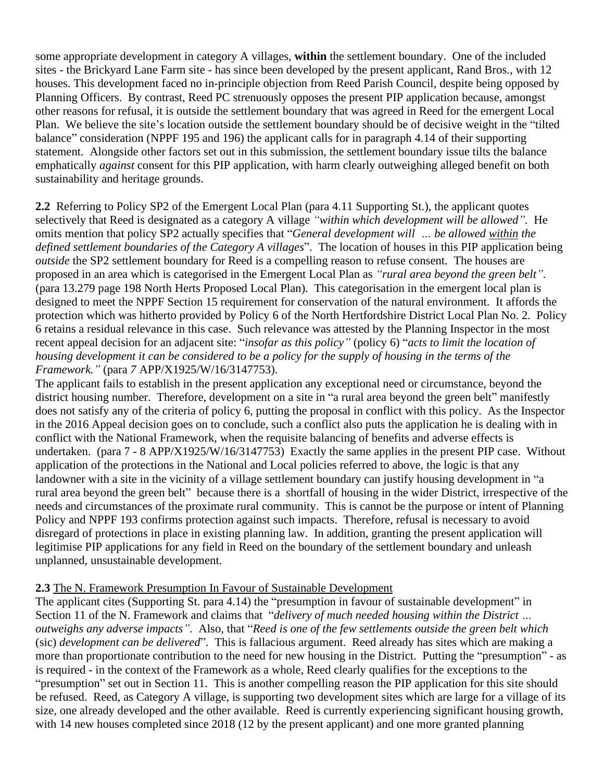some appropriate development in category A villages, **within** the settlement boundary. One of the included sites - the Brickyard Lane Farm site - has since been developed by the present applicant, Rand Bros., with 12 houses. This development faced no in-principle objection from Reed Parish Council, despite being opposed by Planning Officers. By contrast, Reed PC strenuously opposes the present PIP application because, amongst other reasons for refusal, it is outside the settlement boundary that was agreed in Reed for the emergent Local Plan. We believe the site's location outside the settlement boundary should be of decisive weight in the "tilted balance" consideration (NPPF 195 and 196) the applicant calls for in paragraph 4.14 of their supporting statement. Alongside other factors set out in this submission, the settlement boundary issue tilts the balance emphatically *against* consent for this PIP application, with harm clearly outweighing alleged benefit on both sustainability and heritage grounds.

**2.2** Referring to Policy SP2 of the Emergent Local Plan (para 4.11 Supporting St.), the applicant quotes selectively that Reed is designated as a category A village *"within which development will be allowed".* He omits mention that policy SP2 actually specifies that "*General development will … be allowed within the defined settlement boundaries of the Category A villages*". The location of houses in this PIP application being *outside* the SP2 settlement boundary for Reed is a compelling reason to refuse consent. The houses are proposed in an area which is categorised in the Emergent Local Plan as *"rural area beyond the green belt"*. (para 13.279 page 198 North Herts Proposed Local Plan). This categorisation in the emergent local plan is designed to meet the NPPF Section 15 requirement for conservation of the natural environment. It affords the protection which was hitherto provided by Policy 6 of the North Hertfordshire District Local Plan No. 2. Policy 6 retains a residual relevance in this case. Such relevance was attested by the Planning Inspector in the most recent appeal decision for an adjacent site: "*insofar as this policy"* (policy 6) "*acts to limit the location of* housing development it can be considered to be a policy for the supply of housing in the terms of the *Framework."* (para *7* APP/X1925/W/16/3147753).

The applicant fails to establish in the present application any exceptional need or circumstance, beyond the district housing number. Therefore, development on a site in "a rural area beyond the green belt" manifestly does not satisfy any of the criteria of policy 6, putting the proposal in conflict with this policy. As the Inspector in the 2016 Appeal decision goes on to conclude, such a conflict also puts the application he is dealing with in conflict with the National Framework, when the requisite balancing of benefits and adverse effects is undertaken. (para 7 - 8 APP/X1925/W/16/3147753) Exactly the same applies in the present PIP case. Without application of the protections in the National and Local policies referred to above, the logic is that any landowner with a site in the vicinity of a village settlement boundary can justify housing development in "a rural area beyond the green belt" because there is a shortfall of housing in the wider District, irrespective of the needs and circumstances of the proximate rural community. This is cannot be the purpose or intent of Planning Policy and NPPF 193 confirms protection against such impacts. Therefore, refusal is necessary to avoid disregard of protections in place in existing planning law. In addition, granting the present application will legitimise PIP applications for any field in Reed on the boundary of the settlement boundary and unleash unplanned, unsustainable development.

# **2.3** The N. Framework Presumption In Favour of Sustainable Development

The applicant cites (Supporting St. para 4.14) the "presumption in favour of sustainable development" in Section 11 of the N. Framework and claims that "*delivery of much needed housing within the District … outweighs any adverse impacts"*. Also, that "*Reed is one of the few settlements outside the green belt which* (sic) *development can be delivered*". This is fallacious argument. Reed already has sites which are making a more than proportionate contribution to the need for new housing in the District. Putting the "presumption" - as is required - in the context of the Framework as a whole, Reed clearly qualifies for the exceptions to the "presumption" set out in Section 11. This is another compelling reason the PIP application for this site should be refused. Reed, as Category A village, is supporting two development sites which are large for a village of its size, one already developed and the other available. Reed is currently experiencing significant housing growth, with 14 new houses completed since 2018 (12 by the present applicant) and one more granted planning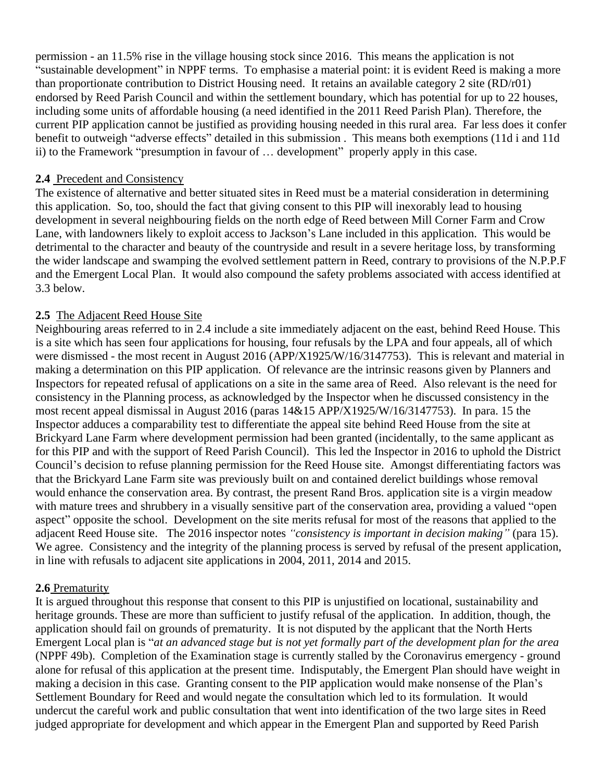permission - an 11.5% rise in the village housing stock since 2016. This means the application is not "sustainable development" in NPPF terms. To emphasise a material point: it is evident Reed is making a more than proportionate contribution to District Housing need. It retains an available category 2 site (RD/r01) endorsed by Reed Parish Council and within the settlement boundary, which has potential for up to 22 houses, including some units of affordable housing (a need identified in the 2011 Reed Parish Plan). Therefore, the current PIP application cannot be justified as providing housing needed in this rural area. Far less does it confer benefit to outweigh "adverse effects" detailed in this submission . This means both exemptions (11d i and 11d ii) to the Framework "presumption in favour of … development" properly apply in this case.

#### **2.4** Precedent and Consistency

The existence of alternative and better situated sites in Reed must be a material consideration in determining this application. So, too, should the fact that giving consent to this PIP will inexorably lead to housing development in several neighbouring fields on the north edge of Reed between Mill Corner Farm and Crow Lane, with landowners likely to exploit access to Jackson's Lane included in this application. This would be detrimental to the character and beauty of the countryside and result in a severe heritage loss, by transforming the wider landscape and swamping the evolved settlement pattern in Reed, contrary to provisions of the N.P.P.F and the Emergent Local Plan. It would also compound the safety problems associated with access identified at 3.3 below.

# **2.5** The Adjacent Reed House Site

Neighbouring areas referred to in 2.4 include a site immediately adjacent on the east, behind Reed House. This is a site which has seen four applications for housing, four refusals by the LPA and four appeals, all of which were dismissed - the most recent in August 2016 (APP/X1925/W/16/3147753). This is relevant and material in making a determination on this PIP application. Of relevance are the intrinsic reasons given by Planners and Inspectors for repeated refusal of applications on a site in the same area of Reed. Also relevant is the need for consistency in the Planning process, as acknowledged by the Inspector when he discussed consistency in the most recent appeal dismissal in August 2016 (paras 14&15 APP/X1925/W/16/3147753). In para. 15 the Inspector adduces a comparability test to differentiate the appeal site behind Reed House from the site at Brickyard Lane Farm where development permission had been granted (incidentally, to the same applicant as for this PIP and with the support of Reed Parish Council). This led the Inspector in 2016 to uphold the District Council's decision to refuse planning permission for the Reed House site. Amongst differentiating factors was that the Brickyard Lane Farm site was previously built on and contained derelict buildings whose removal would enhance the conservation area. By contrast, the present Rand Bros. application site is a virgin meadow with mature trees and shrubbery in a visually sensitive part of the conservation area, providing a valued "open aspect" opposite the school. Development on the site merits refusal for most of the reasons that applied to the adjacent Reed House site. The 2016 inspector notes *"consistency is important in decision making"* (para 15). We agree. Consistency and the integrity of the planning process is served by refusal of the present application, in line with refusals to adjacent site applications in 2004, 2011, 2014 and 2015.

# **2.6** Prematurity

It is argued throughout this response that consent to this PIP is unjustified on locational, sustainability and heritage grounds. These are more than sufficient to justify refusal of the application. In addition, though, the application should fail on grounds of prematurity. It is not disputed by the applicant that the North Herts Emergent Local plan is "at an advanced stage but is not yet formally part of the development plan for the area (NPPF 49b). Completion of the Examination stage is currently stalled by the Coronavirus emergency - ground alone for refusal of this application at the present time. Indisputably, the Emergent Plan should have weight in making a decision in this case. Granting consent to the PIP application would make nonsense of the Plan's Settlement Boundary for Reed and would negate the consultation which led to its formulation. It would undercut the careful work and public consultation that went into identification of the two large sites in Reed judged appropriate for development and which appear in the Emergent Plan and supported by Reed Parish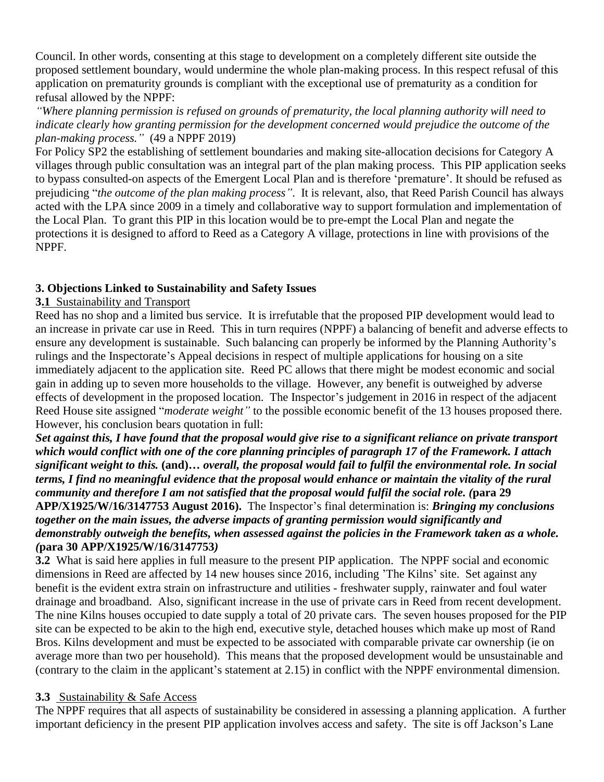Council. In other words, consenting at this stage to development on a completely different site outside the proposed settlement boundary, would undermine the whole plan-making process. In this respect refusal of this application on prematurity grounds is compliant with the exceptional use of prematurity as a condition for refusal allowed by the NPPF:

*"Where planning permission is refused on grounds of prematurity, the local planning authority will need to indicate clearly how granting permission for the development concerned would prejudice the outcome of the plan-making process."* (49 a NPPF 2019)

For Policy SP2 the establishing of settlement boundaries and making site-allocation decisions for Category A villages through public consultation was an integral part of the plan making process. This PIP application seeks to bypass consulted-on aspects of the Emergent Local Plan and is therefore 'premature'. It should be refused as prejudicing "*the outcome of the plan making process"*. It is relevant, also, that Reed Parish Council has always acted with the LPA since 2009 in a timely and collaborative way to support formulation and implementation of the Local Plan. To grant this PIP in this location would be to pre-empt the Local Plan and negate the protections it is designed to afford to Reed as a Category A village, protections in line with provisions of the NPPF.

# **3. Objections Linked to Sustainability and Safety Issues**

# **3.1** Sustainability and Transport

Reed has no shop and a limited bus service. It is irrefutable that the proposed PIP development would lead to an increase in private car use in Reed. This in turn requires (NPPF) a balancing of benefit and adverse effects to ensure any development is sustainable. Such balancing can properly be informed by the Planning Authority's rulings and the Inspectorate's Appeal decisions in respect of multiple applications for housing on a site immediately adjacent to the application site. Reed PC allows that there might be modest economic and social gain in adding up to seven more households to the village. However, any benefit is outweighed by adverse effects of development in the proposed location. The Inspector's judgement in 2016 in respect of the adjacent Reed House site assigned "*moderate weight"* to the possible economic benefit of the 13 houses proposed there. However, his conclusion bears quotation in full:

Set against this, I have found that the proposal would give rise to a significant reliance on private transport which would conflict with one of the core planning principles of paragraph 17 of the Framework. I attach significant weight to this. (and)... overall, the proposal would fail to fulfil the environmental role. In social terms. I find no meaningful evidence that the proposal would enhance or maintain the vitality of the rural community and therefore I am not satisfied that the proposal would fulfil the social role. (para 29 **APP/X1925/W/16/3147753 August 2016).** The Inspector's final determination is: *Bringing my conclusions together on the main issues, the adverse impacts of granting permission would significantly and demonstrably outweigh the benefits, when assessed against the policies in the Framework taken as a whole. (***para 30 APP/X1925/W/16/3147753***)*

**3.2** What is said here applies in full measure to the present PIP application. The NPPF social and economic dimensions in Reed are affected by 14 new houses since 2016, including 'The Kilns' site. Set against any benefit is the evident extra strain on infrastructure and utilities - freshwater supply, rainwater and foul water drainage and broadband. Also, significant increase in the use of private cars in Reed from recent development. The nine Kilns houses occupied to date supply a total of 20 private cars. The seven houses proposed for the PIP site can be expected to be akin to the high end, executive style, detached houses which make up most of Rand Bros. Kilns development and must be expected to be associated with comparable private car ownership (ie on average more than two per household). This means that the proposed development would be unsustainable and (contrary to the claim in the applicant's statement at 2.15) in conflict with the NPPF environmental dimension.

# **3.3** Sustainability & Safe Access

The NPPF requires that all aspects of sustainability be considered in assessing a planning application. A further important deficiency in the present PIP application involves access and safety. The site is off Jackson's Lane